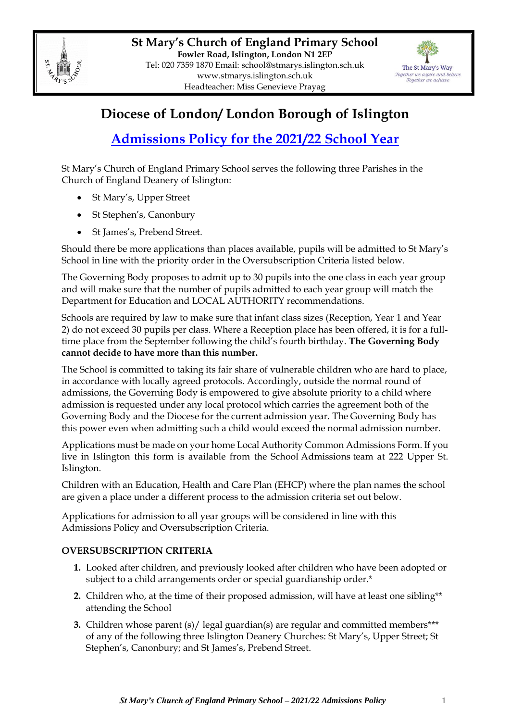



## **Diocese of London/ London Borough of Islington**

# **Admissions Policy for the 2021/22 School Year**

St Mary's Church of England Primary School serves the following three Parishes in the Church of England Deanery of Islington:

- St Mary's, Upper Street
- St Stephen's, Canonbury
- St James's, Prebend Street.

Should there be more applications than places available, pupils will be admitted to St Mary's School in line with the priority order in the Oversubscription Criteria listed below.

The Governing Body proposes to admit up to 30 pupils into the one class in each year group and will make sure that the number of pupils admitted to each year group will match the Department for Education and LOCAL AUTHORITY recommendations.

Schools are required by law to make sure that infant class sizes (Reception, Year 1 and Year 2) do not exceed 30 pupils per class. Where a Reception place has been offered, it is for a fulltime place from the September following the child's fourth birthday. **The Governing Body cannot decide to have more than this number.**

The School is committed to taking its fair share of vulnerable children who are hard to place, in accordance with locally agreed protocols. Accordingly, outside the normal round of admissions, the Governing Body is empowered to give absolute priority to a child where admission is requested under any local protocol which carries the agreement both of the Governing Body and the Diocese for the current admission year. The Governing Body has this power even when admitting such a child would exceed the normal admission number.

Applications must be made on your home Local Authority Common Admissions Form. If you live in Islington this form is available from the School Admissions team at 222 Upper St. Islington.

Children with an Education, Health and Care Plan (EHCP) where the plan names the school are given a place under a different process to the admission criteria set out below.

Applications for admission to all year groups will be considered in line with this Admissions Policy and Oversubscription Criteria.

### **OVERSUBSCRIPTION CRITERIA**

- **1.** Looked after children, and previously looked after children who have been adopted or subject to a child arrangements order or special guardianship order.\*
- **2.** Children who, at the time of their proposed admission, will have at least one sibling\*\* attending the School
- **3.** Children whose parent (s)/ legal guardian(s) are regular and committed members\*\*\* of any of the following three Islington Deanery Churches: St Mary's, Upper Street; St Stephen's, Canonbury; and St James's, Prebend Street.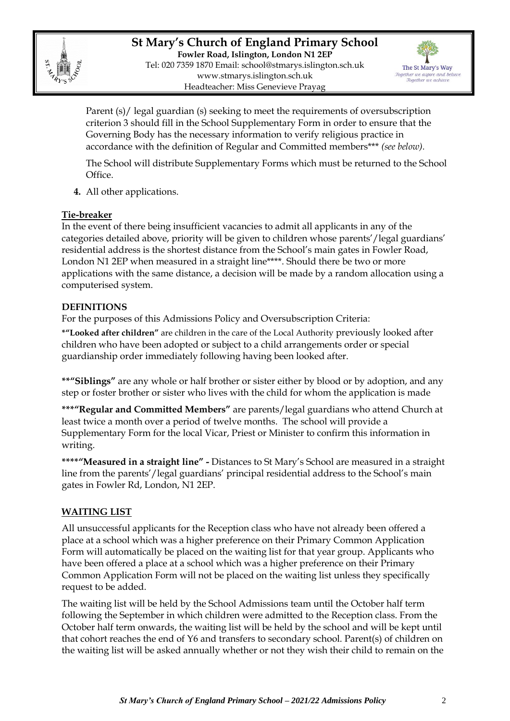

**St Mary's Church of England Primary School Fowler Road, Islington, London N1 2EP** Tel: 020 7359 1870 Email: [school@stmarys.islington.sch.uk](mailto:school@stmarys.islington.sch.uk) [www.stmarys.islington.sch.uk](http://www.stmarys.islington.sch.uk/) Headteacher: Miss Genevieve Prayag



Parent (s)/ legal guardian (s) seeking to meet the requirements of oversubscription criterion 3 should fill in the School Supplementary Form in order to ensure that the Governing Body has the necessary information to verify religious practice in accordance with the definition of Regular and Committed members\*\*\* *(see below).*

The School will distribute Supplementary Forms which must be returned to the School Office.

**4.** All other applications.

#### **Tie-breaker**

In the event of there being insufficient vacancies to admit all applicants in any of the categories detailed above, priority will be given to children whose parents'/legal guardians' residential address is the shortest distance from the School's main gates in Fowler Road, London N1 2EP when measured in a straight line\*\*\*\*. Should there be two or more applications with the same distance, a decision will be made by a random allocation using a computerised system.

#### **DEFINITIONS**

For the purposes of this Admissions Policy and Oversubscription Criteria:

**\*"Looked after children"** are children in the care of the Local Authority previously looked after children who have been adopted or subject to a child arrangements order or special guardianship order immediately following having been looked after.

**\*\*"Siblings"** are any whole or half brother or sister either by blood or by adoption, and any step or foster brother or sister who lives with the child for whom the application is made

**\*\*\*"Regular and Committed Members"** are parents/legal guardians who attend Church at least twice a month over a period of twelve months. The school will provide a Supplementary Form for the local Vicar, Priest or Minister to confirm this information in writing.

**\*\*\*\*"Measured in a straight line" -** Distances to St Mary's School are measured in a straight line from the parents'/legal guardians' principal residential address to the School's main gates in Fowler Rd, London, N1 2EP.

#### **WAITING LIST**

All unsuccessful applicants for the Reception class who have not already been offered a place at a school which was a higher preference on their Primary Common Application Form will automatically be placed on the waiting list for that year group. Applicants who have been offered a place at a school which was a higher preference on their Primary Common Application Form will not be placed on the waiting list unless they specifically request to be added.

The waiting list will be held by the School Admissions team until the October half term following the September in which children were admitted to the Reception class. From the October half term onwards, the waiting list will be held by the school and will be kept until that cohort reaches the end of Y6 and transfers to secondary school. Parent(s) of children on the waiting list will be asked annually whether or not they wish their child to remain on the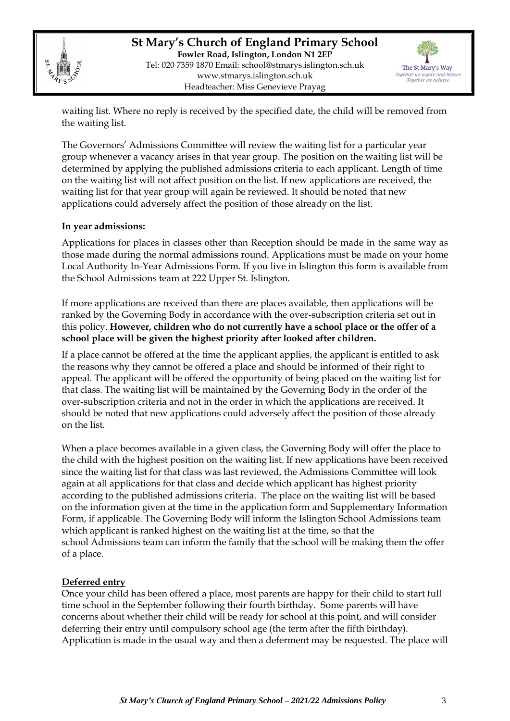

**St Mary's Church of England Primary School Fowler Road, Islington, London N1 2EP** Tel: 020 7359 1870 Email: [school@stmarys.islington.sch.uk](mailto:school@stmarys.islington.sch.uk) [www.stmarys.islington.sch.uk](http://www.stmarys.islington.sch.uk/) Headteacher: Miss Genevieve Prayag



waiting list. Where no reply is received by the specified date, the child will be removed from the waiting list.

The Governors' Admissions Committee will review the waiting list for a particular year group whenever a vacancy arises in that year group. The position on the waiting list will be determined by applying the published admissions criteria to each applicant. Length of time on the waiting list will not affect position on the list. If new applications are received, the waiting list for that year group will again be reviewed. It should be noted that new applications could adversely affect the position of those already on the list.

#### **In year admissions:**

Applications for places in classes other than Reception should be made in the same way as those made during the normal admissions round. Applications must be made on your home Local Authority In-Year Admissions Form. If you live in Islington this form is available from the School Admissions team at 222 Upper St. Islington.

If more applications are received than there are places available, then applications will be ranked by the Governing Body in accordance with the over-subscription criteria set out in this policy. **However, children who do not currently have a school place or the offer of a school place will be given the highest priority after looked after children.** 

If a place cannot be offered at the time the applicant applies, the applicant is entitled to ask the reasons why they cannot be offered a place and should be informed of their right to appeal. The applicant will be offered the opportunity of being placed on the waiting list for that class. The waiting list will be maintained by the Governing Body in the order of the over-subscription criteria and not in the order in which the applications are received. It should be noted that new applications could adversely affect the position of those already on the list.

When a place becomes available in a given class, the Governing Body will offer the place to the child with the highest position on the waiting list. If new applications have been received since the waiting list for that class was last reviewed, the Admissions Committee will look again at all applications for that class and decide which applicant has highest priority according to the published admissions criteria. The place on the waiting list will be based on the information given at the time in the application form and Supplementary Information Form, if applicable. The Governing Body will inform the Islington School Admissions team which applicant is ranked highest on the waiting list at the time, so that the school Admissions team can inform the family that the school will be making them the offer of a place.

#### **Deferred entry**

Once your child has been offered a place, most parents are happy for their child to start full time school in the September following their fourth birthday. Some parents will have concerns about whether their child will be ready for school at this point, and will consider deferring their entry until compulsory school age (the term after the fifth birthday). Application is made in the usual way and then a deferment may be requested. The place will